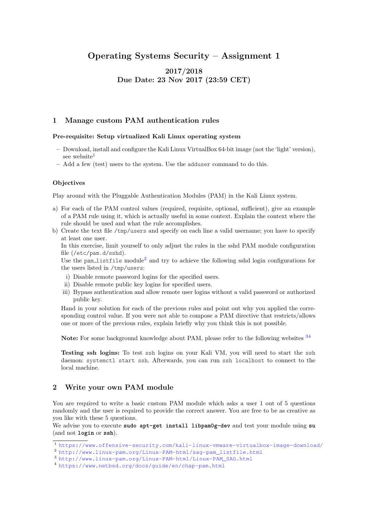# Operating Systems Security – Assignment 1

# 2017/2018 Due Date: 23 Nov 2017 (23:59 CET)

### 1 Manage custom PAM authentication rules

#### Pre-requisite: Setup virtualized Kali Linux operating system

- Download, install and configure the Kali Linux VirtualBox 64-bit image (not the 'light' version), see website<sup>[1](#page-0-0)</sup>
- Add a few (test) users to the system. Use the adduser command to do this.

#### **Objectives**

Play around with the Pluggable Authentication Modules (PAM) in the Kali Linux system.

- a) For each of the PAM control values (required, requisite, optional, sufficient), give an example of a PAM rule using it, which is actually useful in some context. Explain the context where the rule should be used and what the rule accomplishes.
- b) Create the text file /tmp/users and specify on each line a valid username; you have to specify at least one user.

In this exercise, limit yourself to only adjust the rules in the sshd PAM module configuration file (/etc/pam.d/sshd).

Use the pam list file module<sup>[2](#page-0-1)</sup> and try to achieve the following sshd login configurations for the users listed in /tmp/users:

- i) Disable remote password logins for the specified users.
- ii) Disable remote public key logins for specified users.
- iii) Bypass authentication and allow remote user logins without a valid password or authorized public key.

Hand in your solution for each of the previous rules and point out why you applied the corresponding control value. If you were not able to compose a PAM directive that restricts/allows one or more of the previous rules, explain briefly why you think this is not possible.

Note: For some background knowledge about PAM, please refer to the following websites <sup>[3](#page-0-2)[4](#page-0-3)</sup>

Testing ssh logins: To test ssh logins on your Kali VM, you will need to start the ssh daemon: systemctl start ssh. Afterwards, you can run ssh localhost to connect to the local machine.

### 2 Write your own PAM module

You are required to write a basic custom PAM module which asks a user 1 out of 5 questions randomly and the user is required to provide the correct answer. You are free to be as creative as you like with these 5 questions.

We advise you to execute **sudo apt-get install libpam0g-dev** and test your module using **su** (and not **login** or **ssh**).

<span id="page-0-0"></span><sup>1</sup> <https://www.offensive-security.com/kali-linux-vmware-virtualbox-image-download/>

<span id="page-0-1"></span><sup>2</sup> [http://www.linux-pam.org/Linux-PAM-html/sag-pam\\_listfile.html](http://www.linux-pam.org/Linux-PAM-html/sag-pam_listfile.html)

<span id="page-0-2"></span><sup>3</sup> [http://www.linux-pam.org/Linux-PAM-html/Linux-PAM\\_SAG.html](http://www.linux-pam.org/Linux-PAM-html/Linux-PAM_SAG.html)

<span id="page-0-3"></span><sup>4</sup> <https://www.netbsd.org/docs/guide/en/chap-pam.html>